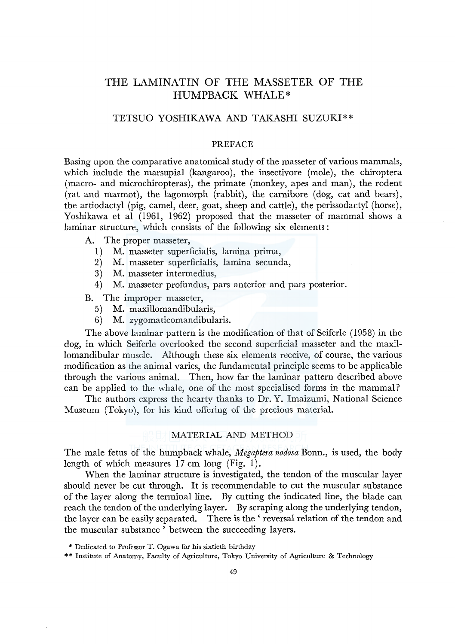# THE LAMINATIN OF THE MASSETER OF THE HUMPBACK WHALE\*

# TETSUO YOSHIKAWA AND TAKASHI SUZUKI\*\*

### PREFACE

Basing upon the comparative anatomical study of the masseter of various mammals, which include the marsupial (kangaroo), the insectivore (mole), the chiroptera (macro- and microchiropteras), the primate (monkey, apes and man), the rodent (rat and marmot), the lagomorph (rabbit), the carnibore (dog, cat and bears), the artiodactyl (pig, camel, deer, goat, sheep and cattle), the perissodactyl (horse), Yoshikawa et al (1961, 1962) proposed that the masseter of mammal shows a laminar structure, which consists of the following six elements :

A. The proper masseter,

- 1) M. masseter superficialis, lamina prima,
- 2) M. masseter superficialis, lamina secunda,
- 3) M. masseter intermedius,
- 4) M. masseter profundus, pars anterior and pars posterior.

B. The improper masseter,

- 5) M. maxillomandibularis,
- 6) M. zygomaticomandibularis.

The above laminar pattern is the modification of that of Seiferle (1958) in the dog, in which Seiferle overlooked the second superficial masseter and the maxillomandibular muscle. Although these six elements receive, of course, the various modification as the animal varies, the fundamental principle seems to be applicable through the various animal. Then, how far the laminar pattern described above can be applied to the whale, one of the most specialised forms in the mammal?

The authors express the hearty thanks to Dr. Y. Imaizumi, National Science Museum (Tokyo), for his kind offering of the precious material.

#### MATERIAL AND METHOD

The male fetus of the humpback whale, *Megaptera nodosa* Bonn., is used, the body length of which measures 17 cm long (Fig. 1).

When the laminar structure is investigated, the tendon of the muscular layer should never be cut through. It is recommendable to cut the muscular substance of the layer along the terminal line. By cutting the indicated line, the blade can reach the tendon of the underlying layer. By scraping along the underlying tendon, the layer can be easily separated. There is the ' reversal relation of the tendon and the muscular substance ' between the succeeding layers.

<sup>\*</sup> Dedicated to Professor T. Ogawa for his sixtieth birthday

<sup>\* \*</sup> Institute of Anatomy, Faculty of Agriculture, Tokyo University of Agriculture & Technology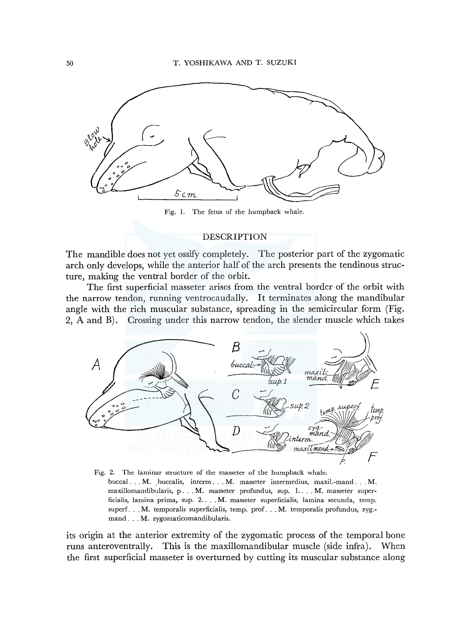

Fig. I. The fetus of the humpback whale.

#### DESCRIPTION

The mandible does not yet ossify completely. The posterior part of the zygomatic arch only develops, while the anterior half of the arch presents the tendinous structure, making the ventral border of the orbit.

The first superficial masseter arises from the ventral border of the orbit with the narrow tendon, running ventrocaudally. It terminates along the mandibular angle with the rich muscular substance, spreading in the semicircular form (Fig. 2, A and B). Crossing under this narrow tendon, the slender muscle which takes



buccal ... M. buccalis, interm ... M. masseter intermedius, maxil.-mand ... M. maxillomandibularis, p. . . M. masseter profundus, sup. 1. . . M. masseter superficialis, lamina prima, sup. 2 .... M. masseter superficialis, lamina secunda, temp. superf... M. temporalis superficialis, temp. prof... M. temporalis profundus, zyg.mand ... M. zygomaticomandibularis.

its origin at the anterior extremity of the zygomatic process of the temporal bone runs anteroventrally. This is the maxillomandibular muscle (side infra). When the first superficial masseter is overturned by cutting its muscular substance along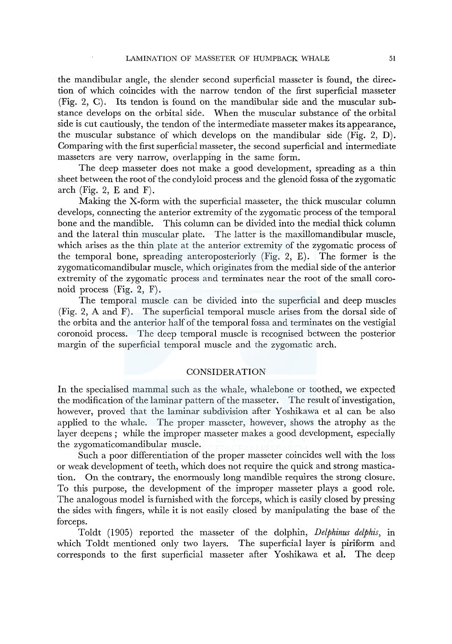the mandibular angle, the slender second superficial masseter is found, the direction of which coincides with the narrow tendon of the first superficial masseter (Fig. 2, C). Its tendon is found on the mandibular side and the muscular substance develops on the orbital side. When the muscular substance of the orbital side is cut cautiously, the tendon of the intermediate masseter makes its appearance, the muscular substance of which develops on the mandibular side (Fig. 2, D). Comparing with the first superficial masseter, the second superficial and intermediate masseters are very narrow, overlapping in the same form.

The deep masseter does not make a good development, spreading as a thin sheet between the root of the condyloid process and the glenoid fossa of the zygomatic arch (Fig. 2,  $E$  and  $F$ ).

Making the X-form with the superficial masseter, the thick muscular column develops, connecting the anterior extremity of the zygomatic process of the temporal<br>bone and the mandible. This column can be divided into the medial thick column This column can be divided into the medial thick column and the lateral thin muscular plate. The latter is the maxillomandibular muscle, which arises as the thin plate at the anterior extremity of the zygomatic process of the temporal bone, spreading anteroposteriorly (Fig. 2, E). The former is the zygomaticomandibular muscle, which originates from the medial side of the anterior extremity of the zygomatic process and terminates near the root of the small coronoid process (Fig. 2, F).

The temporal muscle can be divided into the superficial and deep muscles (Fig. 2, A and F). The superficial temporal muscle arises from the dorsal side of the orbita and the anterior half of the temporal fossa and terminates on the vestigial coronoid process. The deep temporal muscle is recognised between the posterior margin of the superficial temporal muscle and the zygomatic arch.

## CONSIDERATION

In the specialised mammal such as the whale, whalebone or toothed, we expected the modification of the laminar pattern of the masseter. The result of investigation, however, proved that the laminar subdivision after Yoshikawa et al can be also applied to the whale. The proper masseter, however, shows the atrophy as the layer deepens; while the improper masseter makes a good development, especially the zygomaticomandibular muscle.

Such a poor differentiation of the proper masseter coincides well with the loss or weak development of teeth, which does not require the quick and strong mastication. On the contrary, the enormously long mandible requires the strong closure. To this purpose, the development of the improper masseter plays a good role. The analogous model is furnished with the forceps, which is easily closed by pressing the sides with fingers, while it is not easily closed by manipulating the base of the forceps.

Toldt (1905) reported the masseter of the dolphin, *Delphinus delphis,* in which Toldt mentioned only two layers. The superficial layer is piriform and corresponds to the first superficial masseter after Yoshikawa et al. The deep